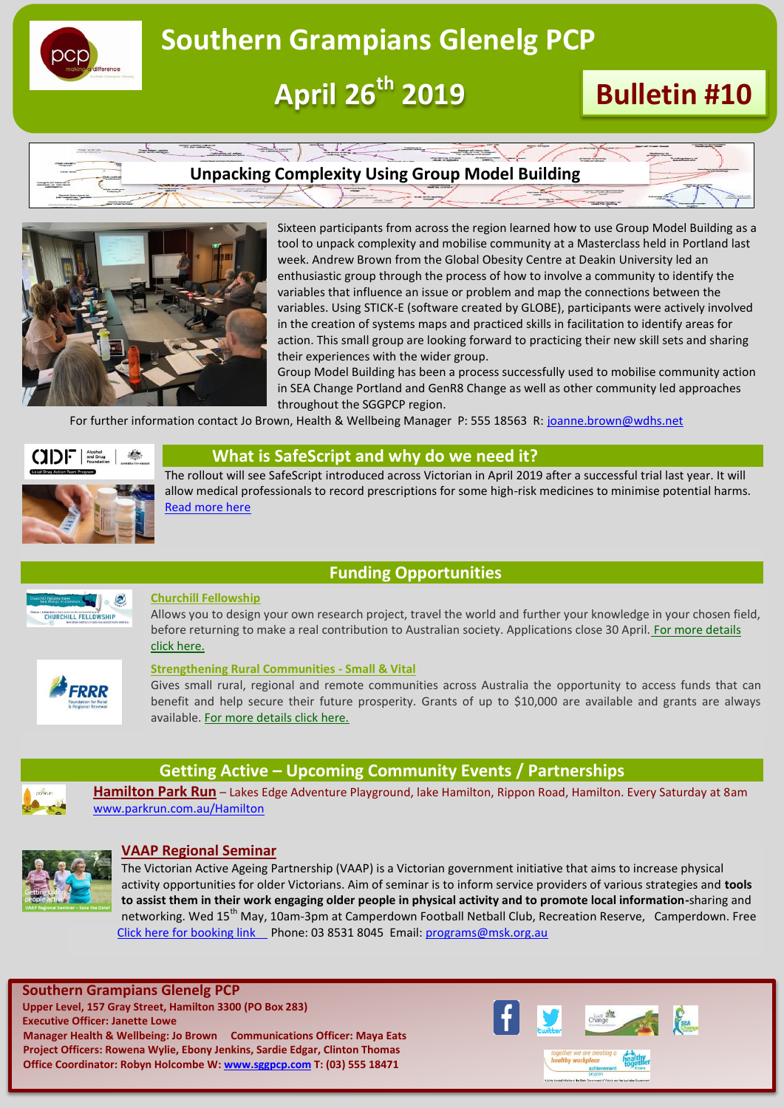

## **Southern Grampians Glenelg PCP**

 **April 26th 2019 Bulletin #10**





Sixteen participants from across the region learned how to use Group Model Building as a tool to unpack complexity and mobilise community at a Masterclass held in Portland last week. Andrew Brown from the Global Obesity Centre at Deakin University led an enthusiastic group through the process of how to involve a community to identify the variables that influence an issue or problem and map the connections between the variables. Using STICK-E (software created by GLOBE), participants were actively involved in the creation of systems maps and practiced skills in facilitation to identify areas for action. This small group are looking forward to practicing their new skill sets and sharing their experiences with the wider group.

Group Model Building has been a process successfully used to mobilise community action in SEA Change Portland and GenR8 Change as well as other community led approaches throughout the SGGPCP region.

For further information contact Jo Brown, Health & Wellbeing Manager P: 555 18563 R: [joanne.brown@wdhs.net](mailto:joanne.brown@wdhs.net)



#### **What is SafeScript and why do we need it?**

The rollout will see SafeScript introduced across Victorian in April 2019 after a successful trial last year. It will allow medical professionals to record prescriptions for some high-risk medicines to minimise potential harms. [Read more here](https://adf.org.au/insights/what-is-safescript/)

### **Funding Opportunities**



#### **Churchill Fellowship**

Allows you to design your own research project, travel the world and further your knowledge in your chosen field, before returning to make a real contribution to Australian society. Applications close 30 April. For more details [click here.](https://www.churchilltrust.com.au/)



#### **[Strengthening Rural Communities -](https://thegrantshub.us4.list-manage.com/track/click?u=3711468835d44d9e6b246eb3a&id=ca77f2f798&e=86687278ad) Small & Vital**

Gives small rural, regional and remote communities across Australia the opportunity to access funds that can benefit and help secure their future prosperity. Grants of up to \$10,000 are available and grants are always available. [For more](http://https/www.frrr.org.au/SRC_Small_Vital.php) [details click here.](http://https/www.frrr.org.au/SRC_Small_Vital.php)



### **Getting Active – Upcoming Community Events / Partnerships**

**Hamilton Park Run** – Lakes Edge Adventure Playground, lake Hamilton, Rippon Road, Hamilton. Every Saturday at 8am [www.parkrun.com.au/Hamilton](http://www.parkrun.com.au/Hamilton)



#### **VAAP Regional Seminar**

The Victorian Active Ageing Partnership (VAAP) is a Victorian government initiative that aims to increase physical activity opportunities for older Victorians. Aim of seminar is to inform service providers of various strategies and **tools to assist them in their work engaging older people in physical activity and to promote local information-**sharing and networking. Wed 15<sup>th</sup> May, 10am-3pm at Camperdown Football Netball Club, Recreation Reserve, Camperdown. Free [Click here for booking link P](https://www.trybooking.com/book/event?eid=462829&)hone: 03 8531 8045 Email[: programs@msk.org.au](mailto:programs@msk.org.au)

**Southern Grampians Glenelg PCP Upper Level, 157 Gray Street, Hamilton 3300 (PO Box 283) Executive Officer: Janette Lowe Manager Health & Wellbeing: Jo Brown Communications Officer: Maya Eats Project Officers: Rowena Wylie, Ebony Jenkins, Sardie Edgar, Clinton Thomas Office Coordinator: Robyn Holcombe W: [www.sggpcp.com](http://www.sggpcp.com/) T: (03) 555 18471**

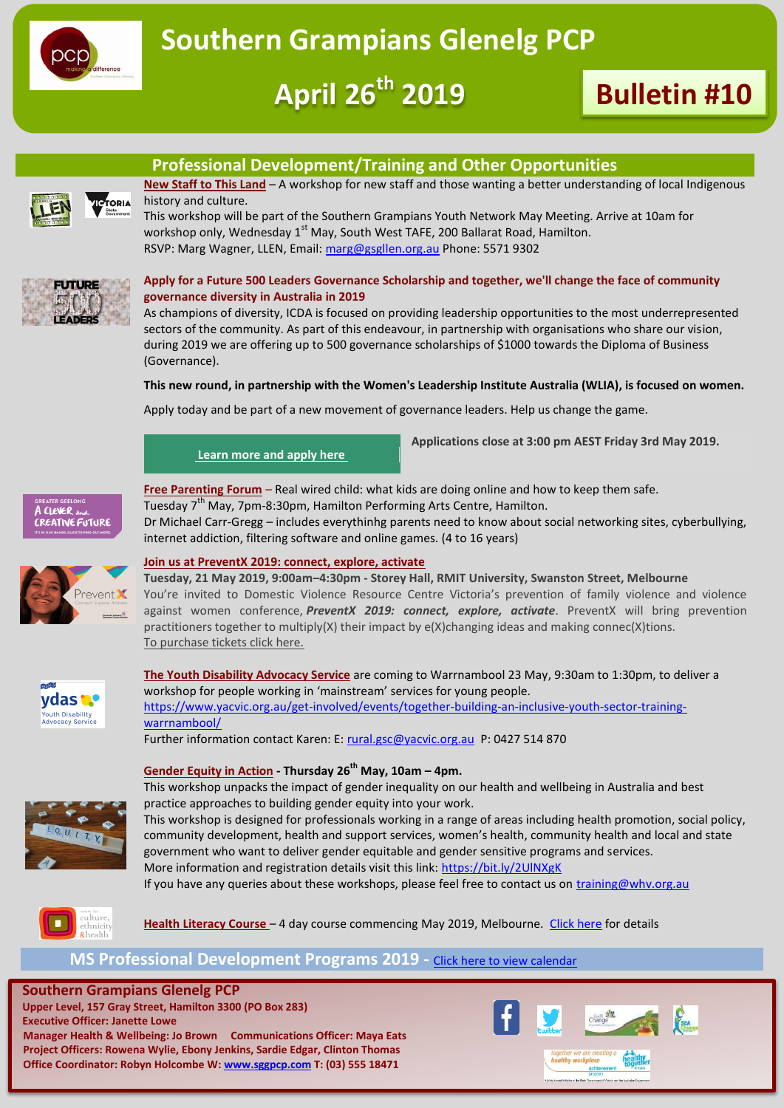

# **April 26th 2019 Bulletin #10**

### **Professional Development/Training and Other Opportunities**



**New Staff to This Land** – A workshop for new staff and those wanting a better understanding of local Indigenous history and culture.

This workshop will be part of the Southern Grampians Youth Network May Meeting. Arrive at 10am for workshop only, Wednesday  $1<sup>st</sup>$  May, South West TAFE, 200 Ballarat Road, Hamilton. RSVP: Marg Wagner, LLEN, Email: [marg@gsgllen.org.au](mailto:marg@gsgllen.org.au) Phone: 5571 9302



#### **Apply for a Future 500 Leaders Governance Scholarship and together, we'll change the face of community governance diversity in Australia in 2019**

As champions of diversity, ICDA is focused on providing leadership opportunities to the most underrepresented sectors of the community. As part of this endeavour, in partnership with organisations who share our vision, during 2019 we are offering up to 500 governance scholarships of \$1000 towards the Diploma of Business (Governance).

#### **This new round, in partnership with the Women's Leadership Institute Australia (WLIA), is focused on women.**

Apply today and be part of a new movement of governance leaders. Help us change the game.

#### **[Learn more and apply here](https://www.communitydirectors.com.au/scholarships)**

**Applications close at 3:00 pm AEST Friday 3rd May 2019.** 



**Free Parenting Forum** – Real wired child: what kids are doing online and how to keep them safe. Tuesday  $7<sup>th</sup>$  May, 7pm-8:30pm, Hamilton Performing Arts Centre, Hamilton. Dr Michael Carr-Gregg – includes everythinhg parents need to know about social networking sites, cyberbullying,



#### **Join us at PreventX 2019: connect, explore, activate**

internet addiction, filtering software and online games. (4 to 16 years)

**Tuesday, 21 May 2019, 9:00am–4:30pm - Storey Hall, RMIT University, Swanston Street, Melbourne** You're invited to Domestic Violence Resource Centre Victoria's prevention of family violence and violence against women conference, PreventX 2019: connect, explore, activate. PreventX will bring prevention practitioners together to multiply(X) their impact by e(X)changing ideas and making connec(X)tions. [To purchase tickets click here.](https://www.eventbrite.com.au/e/preventx-2019-connect-explore-activate-tickets-57556611374?utm_campaign=37b2ea7fdc-EMAIL_CAMPAIGN_2019_03_25_03_48&utm_term=0_92f718da19-37b2ea7fdc-1214620649&utm_source=Training+Promo&utm_medium=email&mc_eid=6d2514a7dc&mc_cid=37b2ea7fdc)



#### **The Youth Disability Advocacy Service** are coming to Warrnambool 23 May, 9:30am to 1:30pm, to deliver a workshop for people working in 'mainstream' services for young people. [https://www.yacvic.org.au/get-involved/events/together-building-an-inclusive-youth-sector-training](https://www.yacvic.org.au/get-involved/events/together-building-an-inclusive-youth-sector-training-warrnambool/)[warrnambool/](https://www.yacvic.org.au/get-involved/events/together-building-an-inclusive-youth-sector-training-warrnambool/) Further information contact Karen: E[: rural.gsc@yacvic.org.au](mailto:rural.gsc@yacvic.org.au) P: 0427 514 870

**Gender Equity in Action - Thursday 26th May, 10am – 4pm.** 

This workshop unpacks the impact of gender inequality on our health and wellbeing in Australia and best practice approaches to building gender equity into your work.

This workshop is designed for professionals working in a range of areas including health promotion, social policy, community development, health and support services, women's health, community health and local and state government who want to deliver gender equitable and gender sensitive programs and services. More information and registration details visit this link:<https://bit.ly/2UlNXgK>

If you have any queries about these workshops, please feel free to contact us on *training@whv.org.au* 



Health Literacy Course - 4 day course commencing May 2019, Melbourne. [Click here](https://www.ceh.org.au/training/browse/2019-health-literacy-course/) for details

### **MS Professional Development Programs 2019 -** [Click here to view calendar](https://www.ms.org.au/support-services/education/health-professionals/upcoming-programs.aspx)

**Southern Grampians Glenelg PCP Upper Level, 157 Gray Street, Hamilton 3300 (PO Box 283) Executive Officer: Janette Lowe Manager Health & Wellbeing: Jo Brown Communications Officer: Maya Eats Project Officers: Rowena Wylie, Ebony Jenkins, Sardie Edgar, Clinton Thomas Office Coordinator: Robyn Holcombe W: [www.sggpcp.com](http://www.sggpcp.com/) T: (03) 555 18471**